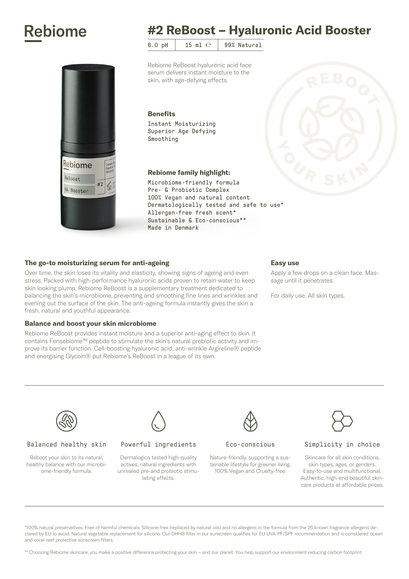# **Rebiome**



# #2 ReBoost – Hyaluronic Acid Booster

6.0 pH  $\vert$  15 ml  $\mathrm{e}$  99% Natural

Rebiome ReBoost hyaluronic acid face serum delivers instant moisture to the skin, with age-defying effects.

#### **Benefits**

Instant Moisturizing Superior Age Defying Smoothing

# Rebiome family highlight:

Microbiome-friendly formula Pre- & Probiotic Complex 100% Vegan and natural content Dermatologically tested and safe to use\* Allergen-free fresh scent\* Sustainable & Eco-conscious\*\* Made in Denmark

# The go-to moisturizing serum for anti-ageing

Over time, the skin loses its vitality and elasticity, showing signs of ageing and even stress. Packed with high-performance hyaluronic acids proven to retain water to keep skin looking plump, Rebiome ReBoost is a supplementary treatment dedicated to balancing the skin's microbiome, preventing and smoothing fine lines and wrinkles and evening out the surface of the skin. The anti-ageing formula instantly gives the skin a fresh, natural and youthful appearance.

#### Balance and boost your skin microbiome

Rebiome ReBoost provides instant moisture and a superior anti-aging effect to skin. It contains Fensebiome™ peptide to stimulate the skin's natural probiotic activity and improve its barrier function. Cell-boosting hyaluronic acid, anti-wrinkle Argireline® peptide and energising Glycoin® put Rebiome's ReBoost in a league of its own.

#### Easy use

Apply a few drops on a clean face. Massage until it penetrates.

For daily use. All skin types.



#### Balanced healthy skin

Reboot your skin to its natural, healthy balance with our microbiome-friendly formula.



#### Powerful ingredients

Dermalogica tested high-quality actives, natural ingredients with unrivaled pre-and probiotic stimulating effects.



#### Eco-conscious

Nature-friendly, supporting a sustainable lifestyle for greener living. 100% Vegan and Cruelty-free.



# Simplicity in choice

Skincare for all skin conditions, skin types, ages, or genders. Easy-to-use and multifunctional. Authentic, high-end beautiful skincare products at affordable prices.

\*100% natural preservatives. Free of harmful chemicals. Silicone-free (replaced by natural oils) and no allergens in the formula from the 26 known fragrance allergens declared by EU to avoid. Natural vegetable replacement for silicone. Our DHHB filter in our sunscreen qualifies for EU UVA-PF/SPF recommendation and is considered ocean and coral-reef protective sunscreen filters.

\*\* Choosing Rebiome skincare, you make a positive difference protecting your skin – and our planet. You help support our environment reducing carbon footprint.